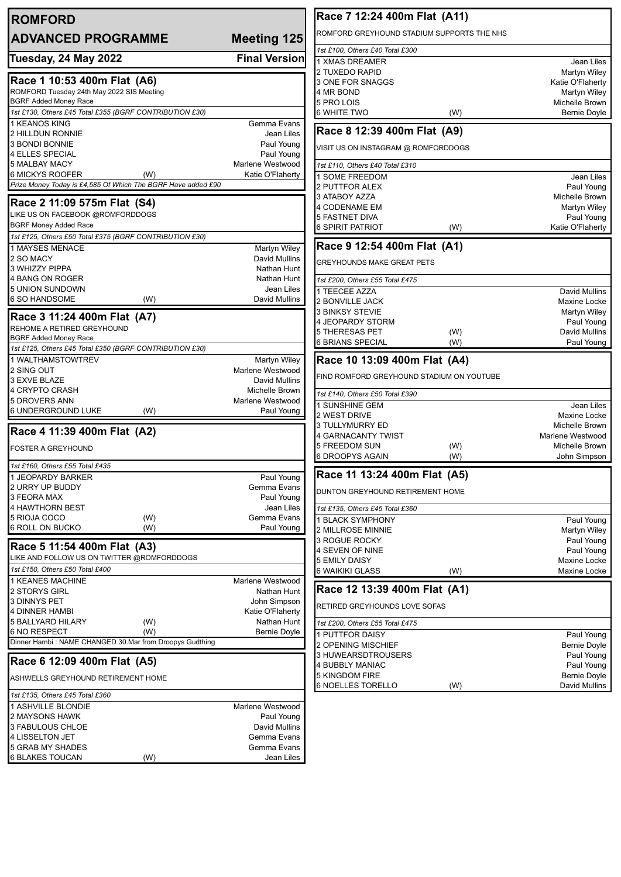| <b>ROMFORD</b>                                               |                                  | Race 7 12:24 400m Flat (A11)                                             |            |
|--------------------------------------------------------------|----------------------------------|--------------------------------------------------------------------------|------------|
| <b>ADVANCED PROGRAMME</b><br><b>Meeting 125</b>              |                                  | ROMFORD GREYHOUND STADIUM SUPPORTS THE NHS                               |            |
|                                                              |                                  | 1st £100, Others £40 Total £300                                          |            |
| Tuesday, 24 May 2022                                         | <b>Final Version</b>             | 1 XMAS DREAMER                                                           | Jean Liles |
|                                                              |                                  | 2 TUXEDO RAPID<br>Martyn Wiley                                           |            |
| Race 1 10:53 400m Flat (A6)                                  |                                  | 3 ONE FOR SNAGGS<br>Katie O'Flaherty                                     |            |
| ROMFORD Tuesday 24th May 2022 SIS Meeting                    |                                  | 4 MR BOND<br>Martyn Wiley                                                |            |
| <b>BGRF Added Money Race</b>                                 |                                  | 5 PRO LOIS<br>Michelle Brown                                             |            |
| 1st £130, Others £45 Total £355 (BGRF CONTRIBUTION £30)      |                                  | <b>6 WHITE TWO</b><br>(W)<br>Bernie Doyle                                |            |
| 1 KEANOS KING                                                | Gemma Evans                      | Race 8 12:39 400m Flat (A9)                                              |            |
| 2 HILLDUN RONNIE<br>3 BONDI BONNIE                           | Jean Liles<br>Paul Young         |                                                                          |            |
| <b>4 ELLES SPECIAL</b>                                       | Paul Young                       | VISIT US ON INSTAGRAM @ ROMFORDDOGS                                      |            |
| 5 MALBAY MACY                                                | Marlene Westwood                 | 1st £110, Others £40 Total £310                                          |            |
| 6 MICKYS ROOFER<br>(W)                                       | Katie O'Flaherty                 |                                                                          |            |
| Prize Money Today is £4,585 Of Which The BGRF Have added £90 |                                  | 1 SOME FREEDOM                                                           | Jean Liles |
|                                                              |                                  | 2 PUTTFOR ALEX<br>Paul Young<br>3 ATABOY AZZA<br>Michelle Brown          |            |
| Race 2 11:09 575m Flat (S4)                                  |                                  | 4 CODENAME EM<br>Martyn Wiley                                            |            |
| LIKE US ON FACEBOOK @ROMFORDDOGS                             |                                  | <b>5 FASTNET DIVA</b><br>Paul Young                                      |            |
| <b>BGRF Money Added Race</b>                                 |                                  | <b>6 SPIRIT PATRIOT</b><br>(W)<br>Katie O'Flaherty                       |            |
| 1st £125, Others £50 Total £375 (BGRF CONTRIBUTION £30)      |                                  |                                                                          |            |
| 1 MAYSES MENACE                                              | Martyn Wiley                     | Race 9 12:54 400m Flat (A1)                                              |            |
| 2 SO MACY                                                    | David Mullins                    | <b>GREYHOUNDS MAKE GREAT PETS</b>                                        |            |
| 3 WHIZZY PIPPA                                               | Nathan Hunt                      |                                                                          |            |
| 4 BANG ON ROGER                                              | Nathan Hunt                      | 1st £200, Others £55 Total £475                                          |            |
| <b>5 UNION SUNDOWN</b>                                       | Jean Liles                       | 1 TEECEE AZZA<br><b>David Mullins</b>                                    |            |
| (W)<br>6 SO HANDSOME                                         | David Mullins                    | 2 BONVILLE JACK<br>Maxine Locke                                          |            |
|                                                              |                                  | 3 BINKSY STEVIE<br>Martyn Wiley                                          |            |
| Race 3 11:24 400m Flat (A7)                                  |                                  | 4 JEOPARDY STORM<br>Paul Young                                           |            |
| REHOME A RETIRED GREYHOUND<br><b>BGRF Added Money Race</b>   |                                  | <b>5 THERESAS PET</b><br>(W)<br>David Mullins                            |            |
| 1st £125, Others £45 Total £350 (BGRF CONTRIBUTION £30)      |                                  | <b>6 BRIANS SPECIAL</b><br>(W)<br>Paul Young                             |            |
| 1 WALTHAMSTOWTREV                                            | Martyn Wiley                     | Race 10 13:09 400m Flat (A4)                                             |            |
| 2 SING OUT                                                   | Marlene Westwood                 |                                                                          |            |
| 3 EXVE BLAZE                                                 | David Mullins                    | FIND ROMFORD GREYHOUND STADIUM ON YOUTUBE                                |            |
| 4 CRYPTO CRASH                                               | Michelle Brown                   |                                                                          |            |
| 5 DROVERS ANN                                                | Marlene Westwood                 | 1st £140, Others £50 Total £390                                          |            |
| 6 UNDERGROUND LUKE<br>(W)                                    | Paul Young                       | 1 SUNSHINE GEM                                                           | Jean Liles |
|                                                              |                                  | 2 WEST DRIVE<br><b>Maxine Locke</b><br>3 TULLYMURRY ED<br>Michelle Brown |            |
| Race 4 11:39 400m Flat (A2)                                  |                                  | 4 GARNACANTY TWIST<br>Marlene Westwood                                   |            |
|                                                              |                                  | 5 FREEDOM SUN<br>(W)<br>Michelle Brown                                   |            |
| <b>FOSTER A GREYHOUND</b>                                    |                                  | 6 DROOPYS AGAIN<br>(W)<br>John Simpson                                   |            |
| 1st £160, Others £55 Total £435                              |                                  |                                                                          |            |
| 1 JEOPARDY BARKER                                            | Paul Young                       | Race 11 13:24 400m Flat (A5)                                             |            |
| 2 URRY UP BUDDY                                              | Gemma Evans                      | DUNTON GREYHOUND RETIREMENT HOME                                         |            |
| 3 FEORA MAX                                                  | Paul Young                       |                                                                          |            |
| 4 HAWTHORN BEST                                              | Jean Liles                       | 1st £135, Others £45 Total £360                                          |            |
| 5 RIOJA COCO<br>(W)                                          | Gemma Evans                      | 1 BLACK SYMPHONY<br>Paul Young                                           |            |
| <b>6 ROLL ON BUCKO</b><br>(W)                                | Paul Young                       | 2 MILLROSE MINNIE<br>Martyn Wiley                                        |            |
| Race 5 11:54 400m Flat (A3)                                  |                                  | 3 ROGUE ROCKY<br>Paul Young                                              |            |
| LIKE AND FOLLOW US ON TWITTER @ROMFORDDOGS                   |                                  | 4 SEVEN OF NINE<br>Paul Young                                            |            |
|                                                              |                                  | <b>5 EMILY DAISY</b><br>Maxine Locke                                     |            |
| 1st £150, Others £50 Total £400                              |                                  | <b>6 WAIKIKI GLASS</b><br>(W)<br>Maxine Locke                            |            |
| 1 KEANES MACHINE                                             | Marlene Westwood                 | Race 12 13:39 400m Flat (A1)                                             |            |
| 2 STORYS GIRL<br><b>3 DINNYS PET</b>                         | Nathan Hunt                      |                                                                          |            |
| 4 DINNER HAMBI                                               | John Simpson<br>Katie O'Flaherty | RETIRED GREYHOUNDS LOVE SOFAS                                            |            |
| 5 BALLYARD HILARY<br>(W)                                     | Nathan Hunt                      |                                                                          |            |
|                                                              |                                  | 1st £200, Others £55 Total £475                                          |            |
|                                                              |                                  |                                                                          |            |
| <b>6 NO RESPECT</b><br>(W)                                   | Bernie Doyle                     | 1 PUTTFOR DAISY<br>Paul Young                                            |            |
| Dinner Hambi: NAME CHANGED 30.Mar from Droopys Gudthing      |                                  | 2 OPENING MISCHIEF<br><b>Bernie Doyle</b>                                |            |
|                                                              |                                  | 3 HUWEARSDTROUSERS<br>Paul Young                                         |            |
| Race 6 12:09 400m Flat (A5)                                  |                                  | 4 BUBBLY MANIAC<br>Paul Young                                            |            |
| ASHWELLS GREYHOUND RETIREMENT HOME                           |                                  | 5 KINGDOM FIRE<br><b>Bernie Doyle</b>                                    |            |
| 1st £135, Others £45 Total £360                              |                                  | <b>6 NOELLES TORELLO</b><br>David Mullins<br>(W)                         |            |
|                                                              | Marlene Westwood                 |                                                                          |            |
| 1 ASHVILLE BLONDIE<br>2 MAYSONS HAWK                         |                                  |                                                                          |            |
|                                                              | Paul Young<br>David Mullins      |                                                                          |            |
| 3 FABULOUS CHLOE<br>4 LISSELTON JET                          | Gemma Evans                      |                                                                          |            |
| <b>5 GRAB MY SHADES</b>                                      | Gemma Evans                      |                                                                          |            |